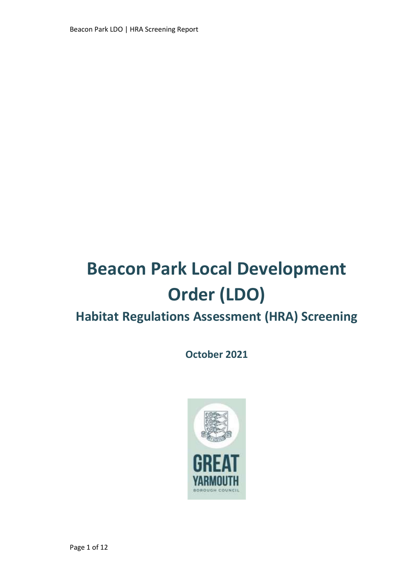Beacon Park LDO | HRA Screening Report

# **Beacon Park Local Development Order (LDO)**

# **Habitat Regulations Assessment (HRA) Screening**

**October 2021**

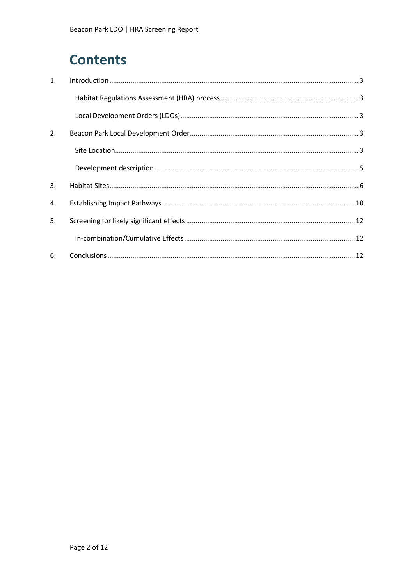# **Contents**

| 1. |  |
|----|--|
|    |  |
|    |  |
| 2. |  |
|    |  |
|    |  |
| 3. |  |
| 4. |  |
| 5. |  |
|    |  |
| 6. |  |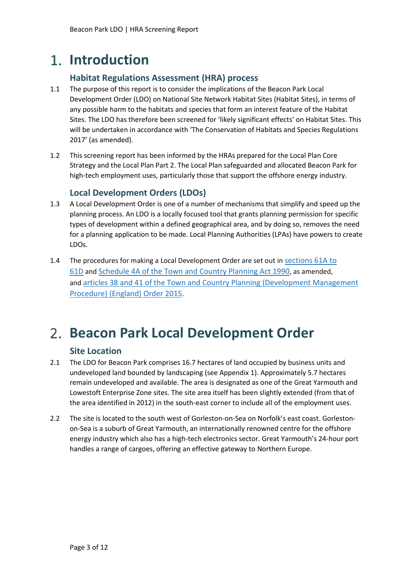### <span id="page-2-0"></span>**Introduction**

#### **Habitat Regulations Assessment (HRA) process**

- <span id="page-2-1"></span>1.1 The purpose of this report is to consider the implications of the Beacon Park Local Development Order (LDO) on National Site Network Habitat Sites (Habitat Sites), in terms of any possible harm to the habitats and species that form an interest feature of the Habitat Sites. The LDO has therefore been screened for 'likely significant effects' on Habitat Sites. This will be undertaken in accordance with ['The Conservation of Habitats and Species Regulations](https://www.legislation.gov.uk/uksi/2017/1012/contents/2019-04-01)  [2017' \(as amended\)](https://www.legislation.gov.uk/uksi/2017/1012/contents/2019-04-01).
- 1.2 This screening report has been informed by the HRAs prepared for the Local Plan Core Strategy and the Local Plan Part 2. The Local Plan safeguarded and allocated Beacon Park for high-tech employment uses, particularly those that support the offshore energy industry.

#### **Local Development Orders (LDOs)**

- <span id="page-2-2"></span>1.3 A Local Development Order is one of a number of mechanisms that simplify and speed up the planning process. An LDO is a locally focused tool that grants planning permission for specific types of development within a defined geographical area, and by doing so, removes the need for a planning application to be made. Local Planning Authorities (LPAs) have powers to create LDOs.
- 1.4 The procedures for making a Local Development Order are set out in [sections](http://www.legislation.gov.uk/ukpga/1990/8/part/III/crossheading/local-development-orders) 61A to [61D](http://www.legislation.gov.uk/ukpga/1990/8/part/III/crossheading/local-development-orders) and [Schedule](http://www.legislation.gov.uk/ukpga/1990/8/schedule/4A) 4A of the Town and Country Planning Act 1990, as amended, and articles 38 and 41 of the Town and Country Planning [\(Development](http://www.legislation.gov.uk/uksi/2015/595/article/38/made) Management [Procedure\)](http://www.legislation.gov.uk/uksi/2015/595/article/38/made) (England) Order 2015.

### <span id="page-2-3"></span>**Beacon Park Local Development Order**

#### **Site Location**

- <span id="page-2-4"></span>2.1 The LDO for Beacon Park comprises 16.7 hectares of land occupied by business units and undeveloped land bounded by landscaping (see Appendix 1). Approximately 5.7 hectares remain undeveloped and available. The area is designated as one of the Great Yarmouth and Lowestoft Enterprise Zone sites. The site area itself has been slightly extended (from that of the area identified in 2012) in the south-east corner to include all of the employment uses.
- 2.2 The site is located to the south west of Gorleston-on-Sea on Norfolk's east coast. Gorlestonon-Sea is a suburb of Great Yarmouth, an internationally renowned centre for the offshore energy industry which also has a high-tech electronics sector. Great Yarmouth's 24-hour port handles a range of cargoes, offering an effective gateway to Northern Europe.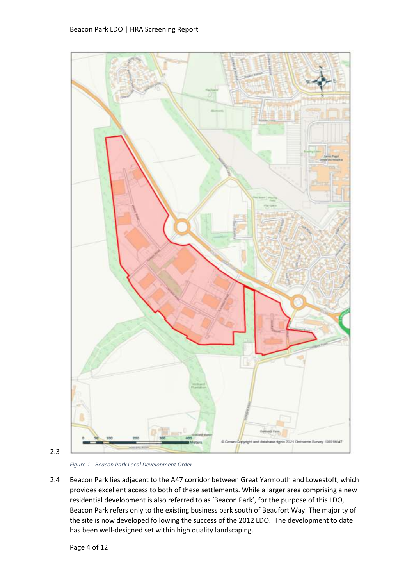

2.3

*Figure 1 - Beacon Park Local Development Order*

2.4 Beacon Park lies adjacent to the A47 corridor between Great Yarmouth and Lowestoft, which provides excellent access to both of these settlements. While a larger area comprising a new residential development is also referred to as 'Beacon Park', for the purpose of this LDO, Beacon Park refers only to the existing business park south of Beaufort Way. The majority of the site is now developed following the success of the 2012 LDO. The development to date has been well-designed set within high quality landscaping.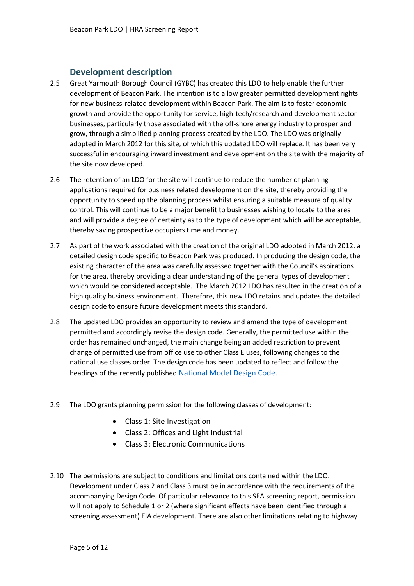#### **Development description**

- <span id="page-4-0"></span>2.5 Great Yarmouth Borough Council (GYBC) has created this LDO to help enable the further development of Beacon Park. The intention is to allow greater permitted development rights for new business-related development within Beacon Park. The aim is to foster economic growth and provide the opportunity for service, high-tech/research and development sector businesses, particularly those associated with the off-shore energy industry to prosper and grow, through a simplified planning process created by the LDO. The LDO was originally adopted in March 2012 for this site, of which this updated LDO will replace. It has been very successful in encouraging inward investment and development on the site with the majority of the site now developed.
- 2.6 The retention of an LDO for the site will continue to reduce the number of planning applications required for business related development on the site, thereby providing the opportunity to speed up the planning process whilst ensuring a suitable measure of quality control. This will continue to be a major benefit to businesses wishing to locate to the area and will provide a degree of certainty as to the type of development which will be acceptable, thereby saving prospective occupiers time and money.
- 2.7 As part of the work associated with the creation of the original LDO adopted in March 2012, a detailed design code specific to Beacon Park was produced. In producing the design code, the existing character of the area was carefully assessed together with the Council's aspirations for the area, thereby providing a clear understanding of the general types of development which would be considered acceptable. The March 2012 LDO has resulted in the creation of a high quality business environment. Therefore, this new LDO retains and updates the detailed design code to ensure future development meets this standard.
- 2.8 The updated LDO provides an opportunity to review and amend the type of development permitted and accordingly revise the design code. Generally, the permitted use within the order has remained unchanged, the main change being an added restriction to prevent change of permitted use from office use to other Class E uses, following changes to the national use classes order. The design code has been updated to reflect and follow the headings of the recently published [National Model Design Code](https://www.gov.uk/government/publications/national-model-design-code).
- 2.9 The LDO grants planning permission for the following classes of development:
	- Class 1: Site Investigation
	- Class 2: Offices and Light Industrial
	- Class 3: Electronic Communications
- 2.10 The permissions are subject to conditions and limitations contained within the LDO. Development under Class 2 and Class 3 must be in accordance with the requirements of the accompanying Design Code. Of particular relevance to this SEA screening report, permission will not apply to Schedule 1 or 2 (where significant effects have been identified through a screening assessment) EIA development. There are also other limitations relating to highway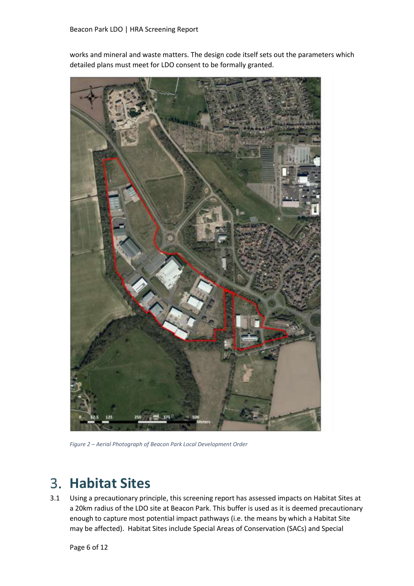



*Figure 2 – Aerial Photograph of Beacon Park Local Development Order*

### <span id="page-5-0"></span>**Habitat Sites**

3.1 Using a precautionary principle, this screening report has assessed impacts on Habitat Sites at a 20km radius of the LDO site at Beacon Park. This buffer is used as it is deemed precautionary enough to capture most potential impact pathways (i.e. the means by which a Habitat Site may be affected). Habitat Sites include Special Areas of Conservation (SACs) and Special

Page 6 of 12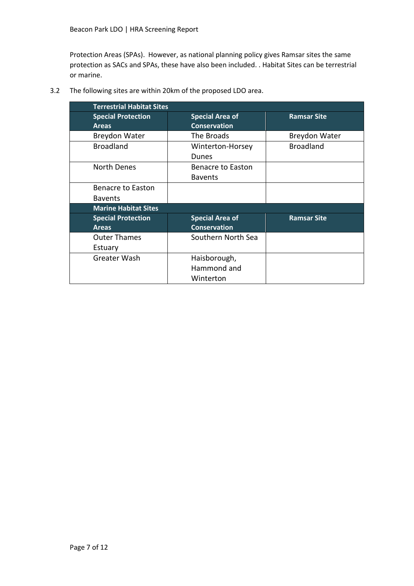Protection Areas (SPAs). However, as national planning policy gives Ramsar sites the same protection as SACs and SPAs, these have also been included. . Habitat Sites can be terrestrial or marine.

3.2 The following sites are within 20km of the proposed LDO area.

| <b>Terrestrial Habitat Sites</b> |                        |                      |  |
|----------------------------------|------------------------|----------------------|--|
| <b>Special Protection</b>        | <b>Special Area of</b> | <b>Ramsar Site</b>   |  |
| <b>Areas</b>                     | <b>Conservation</b>    |                      |  |
| <b>Breydon Water</b>             | The Broads             | <b>Breydon Water</b> |  |
| <b>Broadland</b>                 | Winterton-Horsey       | <b>Broadland</b>     |  |
|                                  | Dunes                  |                      |  |
| North Denes                      | Benacre to Easton      |                      |  |
|                                  | <b>Bavents</b>         |                      |  |
| Benacre to Easton                |                        |                      |  |
| <b>Bavents</b>                   |                        |                      |  |
| <b>Marine Habitat Sites</b>      |                        |                      |  |
| <b>Special Protection</b>        | <b>Special Area of</b> | <b>Ramsar Site</b>   |  |
| <b>Areas</b>                     | <b>Conservation</b>    |                      |  |
| <b>Outer Thames</b>              | Southern North Sea     |                      |  |
| Estuary                          |                        |                      |  |
| Greater Wash                     | Haisborough,           |                      |  |
|                                  | Hammond and            |                      |  |
|                                  | Winterton              |                      |  |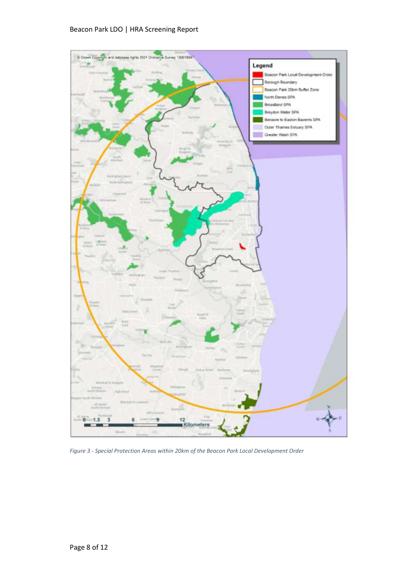

*Figure 3 - Special Protection Areas within 20km of the Beacon Park Local Development Order*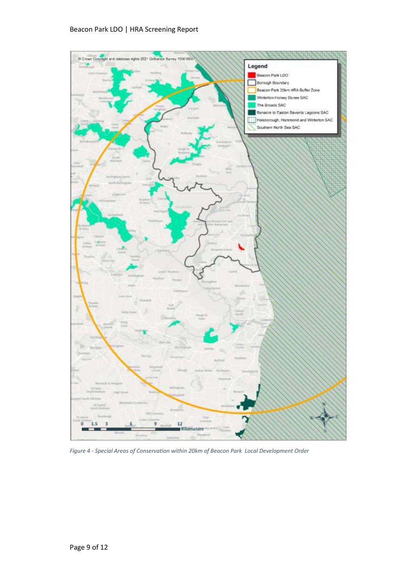

*Figure 4 - Special Areas of Conservation within 20km of Beacon Park Local Development Order*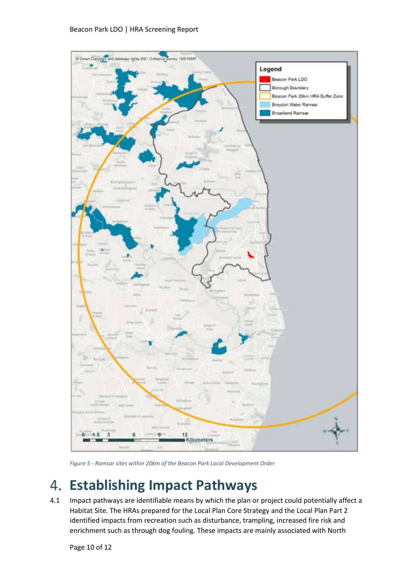

*Figure 5 - Ramsar sites within 20km of the Beacon Park Local Development Order*

# <span id="page-9-0"></span>**Establishing Impact Pathways**

4.1 Impact pathways are identifiable means by which the plan or project could potentially affect a Habitat Site. The HRAs prepared for the Local Plan Core Strategy and the Local Plan Part 2 identified impacts from recreation such as disturbance, trampling, increased fire risk and enrichment such as through dog fouling. These impacts are mainly associated with North

Page 10 of 12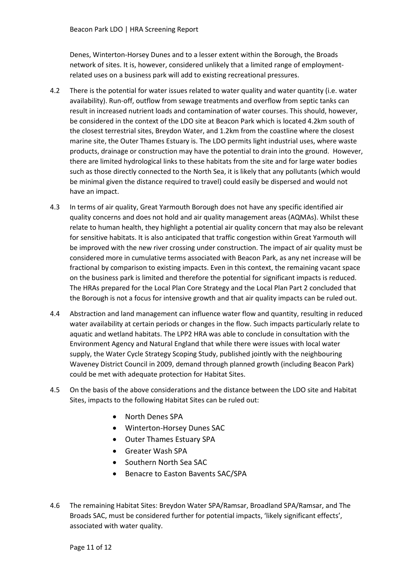Denes, Winterton-Horsey Dunes and to a lesser extent within the Borough, the Broads network of sites. It is, however, considered unlikely that a limited range of employmentrelated uses on a business park will add to existing recreational pressures.

- 4.2 There is the potential for water issues related to water quality and water quantity (i.e. water availability). Run-off, outflow from sewage treatments and overflow from septic tanks can result in increased nutrient loads and contamination of water courses. This should, however, be considered in the context of the LDO site at Beacon Park which is located 4.2km south of the closest terrestrial sites, Breydon Water, and 1.2km from the coastline where the closest marine site, the Outer Thames Estuary is. The LDO permits light industrial uses, where waste products, drainage or construction may have the potential to drain into the ground. However, there are limited hydrological links to these habitats from the site and for large water bodies such as those directly connected to the North Sea, it is likely that any pollutants (which would be minimal given the distance required to travel) could easily be dispersed and would not have an impact.
- 4.3 In terms of air quality, Great Yarmouth Borough does not have any specific identified air quality concerns and does not hold and air quality management areas (AQMAs). Whilst these relate to human health, they highlight a potential air quality concern that may also be relevant for sensitive habitats. It is also anticipated that traffic congestion within Great Yarmouth will be improved with the new river crossing under construction. The impact of air quality must be considered more in cumulative terms associated with Beacon Park, as any net increase will be fractional by comparison to existing impacts. Even in this context, the remaining vacant space on the business park is limited and therefore the potential for significant impacts is reduced. The HRAs prepared for the Local Plan Core Strategy and the Local Plan Part 2 concluded that the Borough is not a focus for intensive growth and that air quality impacts can be ruled out.
- 4.4 Abstraction and land management can influence water flow and quantity, resulting in reduced water availability at certain periods or changes in the flow. Such impacts particularly relate to aquatic and wetland habitats. The LPP2 HRA was able to conclude in consultation with the Environment Agency and Natural England that while there were issues with local water supply, the Water Cycle Strategy Scoping Study, published jointly with the neighbouring Waveney District Council in 2009, demand through planned growth (including Beacon Park) could be met with adequate protection for Habitat Sites.
- 4.5 On the basis of the above considerations and the distance between the LDO site and Habitat Sites, impacts to the following Habitat Sites can be ruled out:
	- North Denes SPA
	- Winterton-Horsey Dunes SAC
	- Outer Thames Estuary SPA
	- Greater Wash SPA
	- Southern North Sea SAC
	- Benacre to Easton Bavents SAC/SPA
- 4.6 The remaining Habitat Sites: Breydon Water SPA/Ramsar, Broadland SPA/Ramsar, and The Broads SAC, must be considered further for potential impacts, 'likely significant effects', associated with water quality.